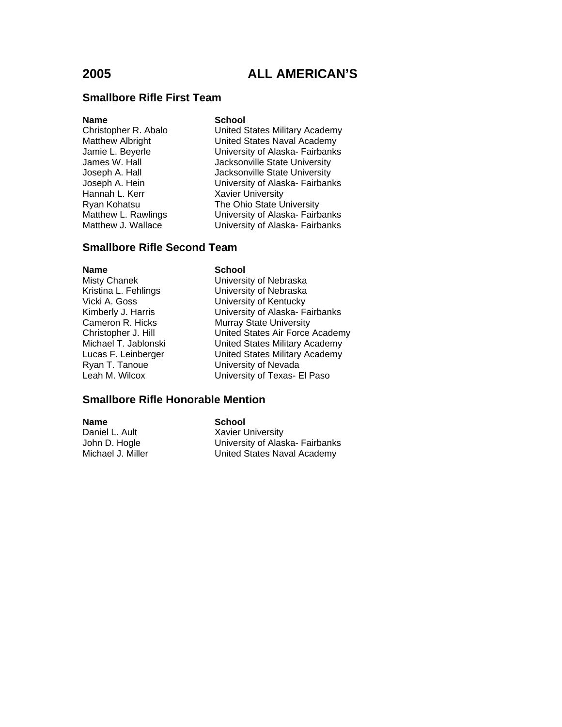### **Smallbore Rifle First Team**

### **Name** School

Christopher R. Abalo United States Military Academy Matthew Albright **Value Community United States Naval Academy**<br>
University of Alaska-Fairbanks University of Alaska- Fairbanks James W. Hall **Jacksonville State University** Joseph A. Hall **Jacksonville State University**<br>Joseph A. Hein **Joseph A. Hein** Joseph A. Hein University of Alaska- Fairbanks **Xavier University** Ryan Kohatsu **The Ohio State University**<br>Matthew L. Rawlings **The University of Alaska-Fairb** University of Alaska- Fairbanks Matthew J. Wallace **University of Alaska- Fairbanks** 

### **Smallbore Rifle Second Team**

**Name** School<br>Misty Chanek **School** 

University of Nebraska Kristina L. Fehlings University of Nebraska Vicki A. Goss University of Kentucky Kimberly J. Harris University of Alaska- Fairbanks Cameron R. Hicks Murray State University Christopher J. Hill United States Air Force Academy<br>Michael T. Jablonski United States Military Academy United States Military Academy Lucas F. Leinberger United States Military Academy Ryan T. Tanoue University of Nevada Leah M. Wilcox University of Texas- El Paso

### **Smallbore Rifle Honorable Mention**

**Name School** Daniel L. Ault Xavier University

John D. Hogle University of Alaska- Fairbanks Michael J. Miller **United States Naval Academy**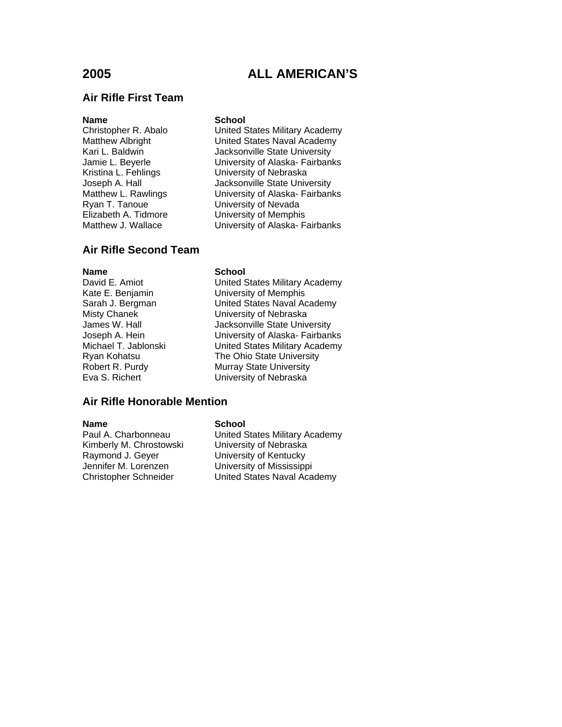## **Air Rifle First Team**

Ryan T. Tanoue **B. Edgel L. Tanoue**<br>Elizabeth A. Tidmore **B. Elizabeth A. Tidmore** 

### **Name** School

Christopher R. Abalo United States Military Academy Matthew Albright **National Communist United States Naval Academy**<br>Kari L. Baldwin **National Macksonville State University** Jacksonville State University Jamie L. Beyerle University of Alaska- Fairbanks Kristina L. Fehlings<br>
Joseph A. Hall State University of Nebraska<br>
Jacksonville State University Joseph A. Hall Jacksonville State University<br>Matthew L. Rawlings University of Alaska- Fairban University of Alaska- Fairbanks University of Memphis Matthew J. Wallace **University of Alaska- Fairbanks** 

### **Air Rifle Second Team**

**Name**<br>
David E. Amiot<br>
David E. Amiot

United States Military Academy Kate E. Benjamin University of Memphis Sarah J. Bergman Vinited States Naval Academy<br>
Misty Chanek Viniversity of Nebraska University of Nebraska James W. Hall **Jacksonville State University** Joseph A. Hein University of Alaska- Fairbanks<br>Michael T. Jablonski United States Military Academy United States Military Academy Ryan Kohatsu The Ohio State University Robert R. Purdy Murray State University Eva S. Richert University of Nebraska

## **Air Rifle Honorable Mention**

**Name School**<br> **Paul A. Charbonneau United S** Kimberly M. Chrostowski<br>Raymond J. Geyer Jennifer M. Lorenzen<br>
Christopher Schneider<br>
United States Naval Aca

United States Military Academy<br>University of Nebraska University of Kentucky United States Naval Academy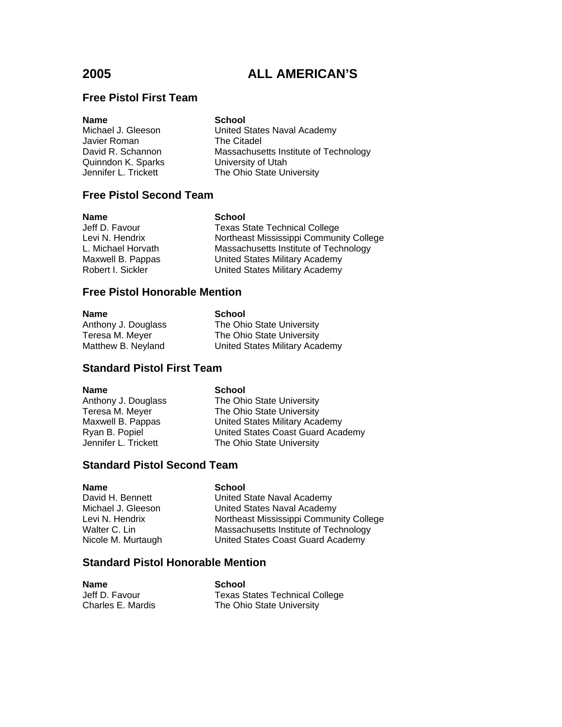## **Free Pistol First Team**

| <b>Name</b>          | <b>School</b>                         |
|----------------------|---------------------------------------|
| Michael J. Gleeson   | United States Naval Academy           |
| Javier Roman         | The Citadel                           |
| David R. Schannon    | Massachusetts Institute of Technology |
| Quinndon K. Sparks   | University of Utah                    |
| Jennifer L. Trickett | The Ohio State University             |
|                      |                                       |

## **Free Pistol Second Team**

| Name               | <b>School</b>                           |
|--------------------|-----------------------------------------|
| Jeff D. Favour     | <b>Texas State Technical College</b>    |
| Levi N. Hendrix    | Northeast Mississippi Community College |
| L. Michael Horvath | Massachusetts Institute of Technology   |
| Maxwell B. Pappas  | United States Military Academy          |
| Robert I. Sickler  | United States Military Academy          |

## **Free Pistol Honorable Mention**

| <b>Name</b>         | <b>School</b>                  |
|---------------------|--------------------------------|
| Anthony J. Douglass | The Ohio State University      |
| Teresa M. Meyer     | The Ohio State University      |
| Matthew B. Neyland  | United States Military Academy |

## **Standard Pistol First Team**

| <b>Name</b>          | <b>School</b>                     |
|----------------------|-----------------------------------|
| Anthony J. Douglass  | The Ohio State University         |
| Teresa M. Meyer      | The Ohio State University         |
| Maxwell B. Pappas    | United States Military Academy    |
| Ryan B. Popiel       | United States Coast Guard Academy |
| Jennifer L. Trickett | The Ohio State University         |
|                      |                                   |
|                      |                                   |

### **Standard Pistol Second Team**

**Name**<br>
David H. Bennett<br>
David H. Bennett<br> **School** 

David H. Bennett United State Naval Academy<br>Michael J. Gleeson United States Naval Academy United States Naval Academy Levi N. Hendrix **Northeast Mississippi Community College** Walter C. Lin Massachusetts Institute of Technology<br>Nicole M. Murtaugh United States Coast Guard Academy United States Coast Guard Academy

## **Standard Pistol Honorable Mention**

| <b>Name</b>       | School                                |
|-------------------|---------------------------------------|
| Jeff D. Favour    | <b>Texas States Technical College</b> |
| Charles E. Mardis | The Ohio State University             |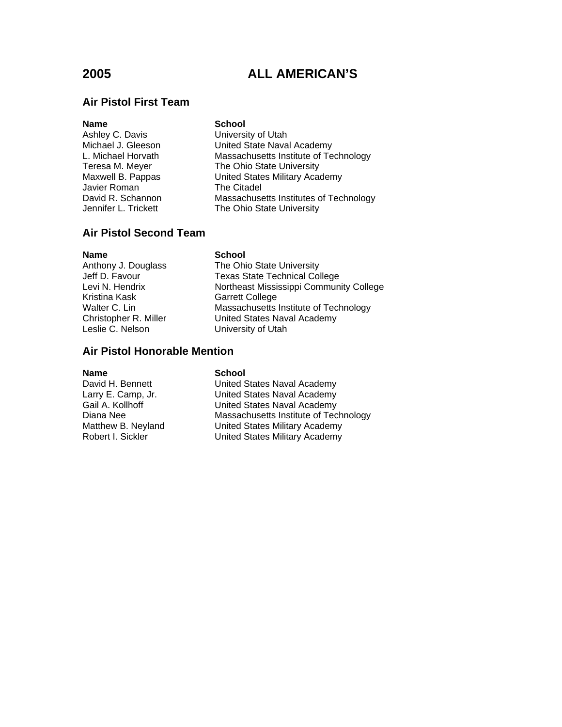## **Air Pistol First Team**

| <b>Name</b>          | <b>School</b>                          |
|----------------------|----------------------------------------|
| Ashley C. Davis      | University of Utah                     |
| Michael J. Gleeson   | United State Naval Academy             |
| L. Michael Horvath   | Massachusetts Institute of Technology  |
| Teresa M. Meyer      | The Ohio State University              |
| Maxwell B. Pappas    | United States Military Academy         |
| Javier Roman         | The Citadel                            |
| David R. Schannon    | Massachusetts Institutes of Technology |
| Jennifer L. Trickett | The Ohio State University              |

## **Air Pistol Second Team**

**Name** School<br>Anthony J. Douglass The Ohi Kristina Kask Garrett College

The Ohio State University Jeff D. Favour Texas State Technical College Levi N. Hendrix **Northeast Mississippi Community College** Walter C. Lin Massachusetts Institute of Technology<br>Christopher R. Miller United States Naval Academy Christopher R. Miller United States Naval Academy<br>
Leslie C. Nelson University of Utah University of Utah

### **Air Pistol Honorable Mention**

**Name**<br>
David H. Bennett<br>
United S

United States Naval Academy Larry E. Camp, Jr. United States Naval Academy Gail A. Kollhoff **Cancel Accord Contract Contract Accord Contract Accord Contract Contract Contract Contract Contract Contract Contract Contract Decision Nassachusetts Institute of Technical Accord Contract Contract Contra** Diana Nee Massachusetts Institute of Technology<br>Matthew B. Neyland United States Military Academy United States Military Academy Robert I. Sickler **United States Military Academy**